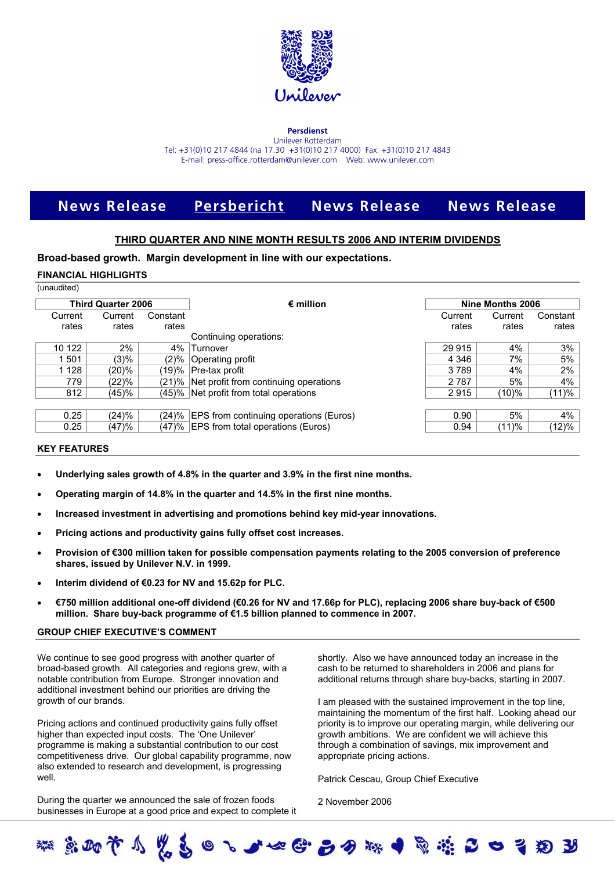

#### **Persdienst** Unilever Rotterdam

Tel: +31(0)10 217 4844 (na 17.30 +31(0)10 217 4000) Fax: +31(0)10 217 4843 E-mail: press-office.rotterdam@unilever.com Web: www.unilever.com

# **News Release Persbericht News Release News Release**

## **THIRD QUARTER AND NINE MONTH RESULTS 2006 AND INTERIM DIVIDENDS**

**Broad-based growth. Margin development in line with our expectations.**

#### **FINANCIAL HIGHLIGHTS**

| (unaudited) |
|-------------|
|-------------|

| Constant<br>rates<br>Continuing operations:<br>4%<br>Turnover | Current<br>rates    | Current<br>rates                                                                                                                                                                 | Constant<br>rates |
|---------------------------------------------------------------|---------------------|----------------------------------------------------------------------------------------------------------------------------------------------------------------------------------|-------------------|
|                                                               |                     |                                                                                                                                                                                  |                   |
|                                                               |                     |                                                                                                                                                                                  |                   |
|                                                               |                     |                                                                                                                                                                                  |                   |
|                                                               | 29 915              | $4\%$                                                                                                                                                                            | 3%                |
| $(2)\%$<br>Operating profit                                   | 4 3 4 6             | 7%                                                                                                                                                                               | 5%                |
|                                                               | 3789                | 4%                                                                                                                                                                               | 2%                |
|                                                               | 2 7 8 7             | 5%                                                                                                                                                                               | 4%                |
|                                                               | 2915                | (10)%                                                                                                                                                                            | (11)%             |
|                                                               |                     |                                                                                                                                                                                  |                   |
|                                                               | 0.90                | 5%                                                                                                                                                                               | 4%                |
|                                                               | 0.94                | (11)%                                                                                                                                                                            | (12)%             |
|                                                               | 19)% Pre-tax profit | (21)% Net profit from continuing operations<br>(45)% Net profit from total operations<br>(24)% EPS from continuing operations (Euros)<br>(47)% EPS from total operations (Euros) |                   |

#### **KEY FEATURES**

- **Underlying sales growth of 4.8% in the quarter and 3.9% in the first nine months.**
- **Operating margin of 14.8% in the quarter and 14.5% in the first nine months.**
- **Increased investment in advertising and promotions behind key mid-year innovations.**
- **Pricing actions and productivity gains fully offset cost increases.**
- **Provision of €300 million taken for possible compensation payments relating to the 2005 conversion of preference shares, issued by Unilever N.V. in 1999.**
- **Interim dividend of €0.23 for NV and 15.62p for PLC.**
- **€750 million additional one-off dividend (€0.26 for NV and 17.66p for PLC), replacing 2006 share buy-back of €500 million. Share buy-back programme of €1.5 billion planned to commence in 2007.**

#### **GROUP CHIEF EXECUTIVE'S COMMENT**

We continue to see good progress with another quarter of broad-based growth. All categories and regions grew, with a notable contribution from Europe. Stronger innovation and additional investment behind our priorities are driving the growth of our brands.

Pricing actions and continued productivity gains fully offset higher than expected input costs. The 'One Unilever' programme is making a substantial contribution to our cost competitiveness drive. Our global capability programme, now also extended to research and development, is progressing well.

During the quarter we announced the sale of frozen foods businesses in Europe at a good price and expect to complete it shortly. Also we have announced today an increase in the cash to be returned to shareholders in 2006 and plans for additional returns through share buy-backs, starting in 2007.

I am pleased with the sustained improvement in the top line, maintaining the momentum of the first half. Looking ahead our priority is to improve our operating margin, while delivering our growth ambitions. We are confident we will achieve this through a combination of savings, mix improvement and appropriate pricing actions.

Patrick Cescau, Group Chief Executive

2 November 2006

まめすりを楽をするせいせいとうない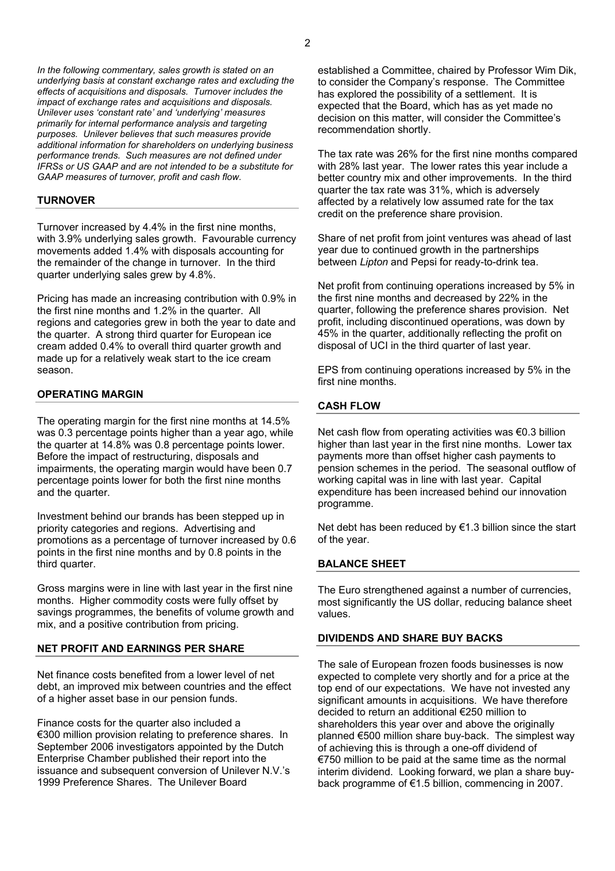*In the following commentary, sales growth is stated on an underlying basis at constant exchange rates and excluding the effects of acquisitions and disposals. Turnover includes the impact of exchange rates and acquisitions and disposals. Unilever uses 'constant rate' and 'underlying' measures primarily for internal performance analysis and targeting purposes. Unilever believes that such measures provide additional information for shareholders on underlying business performance trends. Such measures are not defined under IFRSs or US GAAP and are not intended to be a substitute for GAAP measures of turnover, profit and cash flow.*

#### **TURNOVER**

Turnover increased by 4.4% in the first nine months, with 3.9% underlying sales growth. Favourable currency movements added 1.4% with disposals accounting for the remainder of the change in turnover. In the third quarter underlying sales grew by 4.8%.

Pricing has made an increasing contribution with 0.9% in the first nine months and 1.2% in the quarter. All regions and categories grew in both the year to date and the quarter. A strong third quarter for European ice cream added 0.4% to overall third quarter growth and made up for a relatively weak start to the ice cream season.

#### **OPERATING MARGIN**

The operating margin for the first nine months at 14.5% was 0.3 percentage points higher than a year ago, while the quarter at 14.8% was 0.8 percentage points lower. Before the impact of restructuring, disposals and impairments, the operating margin would have been 0.7 percentage points lower for both the first nine months and the quarter.

Investment behind our brands has been stepped up in priority categories and regions. Advertising and promotions as a percentage of turnover increased by 0.6 points in the first nine months and by 0.8 points in the third quarter.

Gross margins were in line with last year in the first nine months. Higher commodity costs were fully offset by savings programmes, the benefits of volume growth and mix, and a positive contribution from pricing.

## **NET PROFIT AND EARNINGS PER SHARE**

Net finance costs benefited from a lower level of net debt, an improved mix between countries and the effect of a higher asset base in our pension funds.

Finance costs for the quarter also included a €300 million provision relating to preference shares. In September 2006 investigators appointed by the Dutch Enterprise Chamber published their report into the issuance and subsequent conversion of Unilever N.V.'s 1999 Preference Shares. The Unilever Board

established a Committee, chaired by Professor Wim Dik, to consider the Company's response. The Committee has explored the possibility of a settlement. It is expected that the Board, which has as yet made no decision on this matter, will consider the Committee's recommendation shortly.

The tax rate was 26% for the first nine months compared with 28% last year. The lower rates this year include a better country mix and other improvements. In the third quarter the tax rate was 31%, which is adversely affected by a relatively low assumed rate for the tax credit on the preference share provision.

Share of net profit from joint ventures was ahead of last year due to continued growth in the partnerships between *Lipton* and Pepsi for ready-to-drink tea.

Net profit from continuing operations increased by 5% in the first nine months and decreased by 22% in the quarter, following the preference shares provision. Net profit, including discontinued operations, was down by 45% in the quarter, additionally reflecting the profit on disposal of UCI in the third quarter of last year.

EPS from continuing operations increased by 5% in the first nine months.

## **CASH FLOW**

Net cash flow from operating activities was €0.3 billion higher than last year in the first nine months. Lower tax payments more than offset higher cash payments to pension schemes in the period. The seasonal outflow of working capital was in line with last year. Capital expenditure has been increased behind our innovation programme.

Net debt has been reduced by €1.3 billion since the start of the year.

## **BALANCE SHEET**

The Euro strengthened against a number of currencies, most significantly the US dollar, reducing balance sheet values.

#### **DIVIDENDS AND SHARE BUY BACKS**

The sale of European frozen foods businesses is now expected to complete very shortly and for a price at the top end of our expectations. We have not invested any significant amounts in acquisitions. We have therefore decided to return an additional €250 million to shareholders this year over and above the originally planned €500 million share buy-back. The simplest way of achieving this is through a one-off dividend of €750 million to be paid at the same time as the normal interim dividend. Looking forward, we plan a share buyback programme of €1.5 billion, commencing in 2007.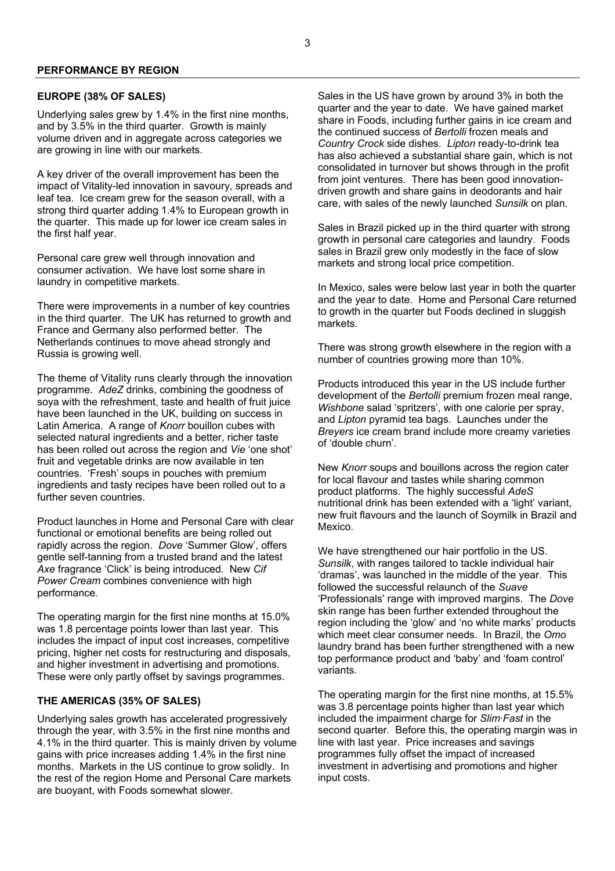#### **PERFORMANCE BY REGION**

## **EUROPE (38% OF SALES)**

Underlying sales grew by 1.4% in the first nine months, and by 3.5% in the third quarter. Growth is mainly volume driven and in aggregate across categories we are growing in line with our markets.

A key driver of the overall improvement has been the impact of Vitality-led innovation in savoury, spreads and leaf tea. Ice cream grew for the season overall, with a strong third quarter adding 1.4% to European growth in the quarter. This made up for lower ice cream sales in the first half year.

Personal care grew well through innovation and consumer activation. We have lost some share in laundry in competitive markets.

There were improvements in a number of key countries in the third quarter. The UK has returned to growth and France and Germany also performed better. The Netherlands continues to move ahead strongly and Russia is growing well.

The theme of Vitality runs clearly through the innovation programme. *AdeZ* drinks, combining the goodness of soya with the refreshment, taste and health of fruit juice have been launched in the UK, building on success in Latin America. A range of *Knorr* bouillon cubes with selected natural ingredients and a better, richer taste has been rolled out across the region and *Vie* 'one shot' fruit and vegetable drinks are now available in ten countries. 'Fresh' soups in pouches with premium ingredients and tasty recipes have been rolled out to a further seven countries.

Product launches in Home and Personal Care with clear functional or emotional benefits are being rolled out rapidly across the region. *Dove* 'Summer Glow', offers gentle self-tanning from a trusted brand and the latest *Axe* fragrance 'Click' is being introduced. New *Cif Power Cream* combines convenience with high performance.

The operating margin for the first nine months at 15.0% was 1.8 percentage points lower than last year. This includes the impact of input cost increases, competitive pricing, higher net costs for restructuring and disposals, and higher investment in advertising and promotions. These were only partly offset by savings programmes.

## **THE AMERICAS (35% OF SALES)**

Underlying sales growth has accelerated progressively through the year, with 3.5% in the first nine months and 4.1% in the third quarter. This is mainly driven by volume gains with price increases adding 1.4% in the first nine months. Markets in the US continue to grow solidly. In the rest of the region Home and Personal Care markets are buoyant, with Foods somewhat slower.

Sales in the US have grown by around 3% in both the quarter and the year to date. We have gained market share in Foods, including further gains in ice cream and the continued success of *Bertolli* frozen meals and *Country Crock* side dishes. *Lipton* ready-to-drink tea has also achieved a substantial share gain, which is not consolidated in turnover but shows through in the profit from joint ventures. There has been good innovationdriven growth and share gains in deodorants and hair care, with sales of the newly launched *Sunsilk* on plan.

Sales in Brazil picked up in the third quarter with strong growth in personal care categories and laundry. Foods sales in Brazil grew only modestly in the face of slow markets and strong local price competition.

In Mexico, sales were below last year in both the quarter and the year to date. Home and Personal Care returned to growth in the quarter but Foods declined in sluggish markets.

There was strong growth elsewhere in the region with a number of countries growing more than 10%.

Products introduced this year in the US include further development of the *Bertolli* premium frozen meal range, *Wishbone* salad 'spritzers', with one calorie per spray, and *Lipton* pyramid tea bags. Launches under the *Breyers* ice cream brand include more creamy varieties of 'double churn'.

New *Knorr* soups and bouillons across the region cater for local flavour and tastes while sharing common product platforms. The highly successful *AdeS* nutritional drink has been extended with a 'light' variant, new fruit flavours and the launch of Soymilk in Brazil and Mexico.

We have strengthened our hair portfolio in the US. *Sunsilk*, with ranges tailored to tackle individual hair 'dramas', was launched in the middle of the year. This followed the successful relaunch of the *Suave* 'Professionals' range with improved margins. The *Dove* skin range has been further extended throughout the region including the 'glow' and 'no white marks' products which meet clear consumer needs. In Brazil, the *Omo* laundry brand has been further strengthened with a new top performance product and 'baby' and 'foam control' variants.

The operating margin for the first nine months, at 15.5% was 3.8 percentage points higher than last year which included the impairment charge for *Slim·Fast* in the second quarter. Before this, the operating margin was in line with last year. Price increases and savings programmes fully offset the impact of increased investment in advertising and promotions and higher input costs.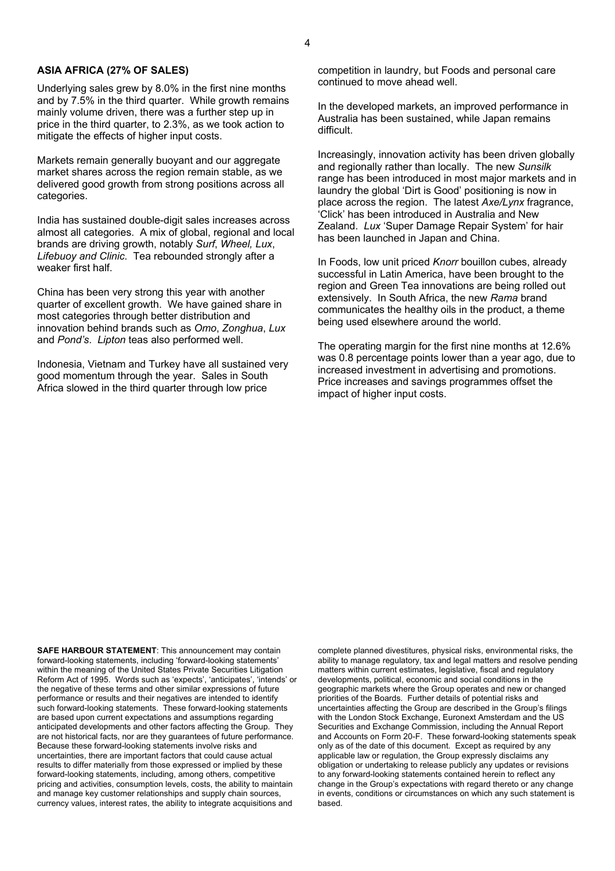## **ASIA AFRICA (27% OF SALES)**

Underlying sales grew by 8.0% in the first nine months and by 7.5% in the third quarter. While growth remains mainly volume driven, there was a further step up in price in the third quarter, to 2.3%, as we took action to mitigate the effects of higher input costs.

Markets remain generally buoyant and our aggregate market shares across the region remain stable, as we delivered good growth from strong positions across all categories.

India has sustained double-digit sales increases across almost all categories. A mix of global, regional and local brands are driving growth, notably *Surf*, *Wheel, Lux*, *Lifebuoy and Clinic*. Tea rebounded strongly after a weaker first half.

China has been very strong this year with another quarter of excellent growth. We have gained share in most categories through better distribution and innovation behind brands such as *Omo*, *Zonghua*, *Lux* and *Pond's*. *Lipton* teas also performed well.

Indonesia, Vietnam and Turkey have all sustained very good momentum through the year. Sales in South Africa slowed in the third quarter through low price

competition in laundry, but Foods and personal care continued to move ahead well.

In the developed markets, an improved performance in Australia has been sustained, while Japan remains difficult.

Increasingly, innovation activity has been driven globally and regionally rather than locally. The new *Sunsilk* range has been introduced in most major markets and in laundry the global 'Dirt is Good' positioning is now in place across the region. The latest *Axe/Lynx* fragrance, 'Click' has been introduced in Australia and New Zealand. *Lux* 'Super Damage Repair System' for hair has been launched in Japan and China.

In Foods, low unit priced *Knorr* bouillon cubes, already successful in Latin America, have been brought to the region and Green Tea innovations are being rolled out extensively. In South Africa, the new *Rama* brand communicates the healthy oils in the product, a theme being used elsewhere around the world.

The operating margin for the first nine months at 12.6% was 0.8 percentage points lower than a year ago, due to increased investment in advertising and promotions. Price increases and savings programmes offset the impact of higher input costs.

**SAFE HARBOUR STATEMENT**: This announcement may contain forward-looking statements, including 'forward-looking statements' within the meaning of the United States Private Securities Litigation Reform Act of 1995. Words such as 'expects', 'anticipates', 'intends' or the negative of these terms and other similar expressions of future performance or results and their negatives are intended to identify such forward-looking statements. These forward-looking statements are based upon current expectations and assumptions regarding anticipated developments and other factors affecting the Group. They are not historical facts, nor are they guarantees of future performance. Because these forward-looking statements involve risks and uncertainties, there are important factors that could cause actual results to differ materially from those expressed or implied by these forward-looking statements, including, among others, competitive pricing and activities, consumption levels, costs, the ability to maintain and manage key customer relationships and supply chain sources, currency values, interest rates, the ability to integrate acquisitions and

complete planned divestitures, physical risks, environmental risks, the ability to manage regulatory, tax and legal matters and resolve pending matters within current estimates, legislative, fiscal and regulatory developments, political, economic and social conditions in the geographic markets where the Group operates and new or changed priorities of the Boards. Further details of potential risks and uncertainties affecting the Group are described in the Group's filings with the London Stock Exchange, Euronext Amsterdam and the US Securities and Exchange Commission, including the Annual Report and Accounts on Form 20-F. These forward-looking statements speak only as of the date of this document. Except as required by any applicable law or regulation, the Group expressly disclaims any obligation or undertaking to release publicly any updates or revisions to any forward-looking statements contained herein to reflect any change in the Group's expectations with regard thereto or any change in events, conditions or circumstances on which any such statement is based.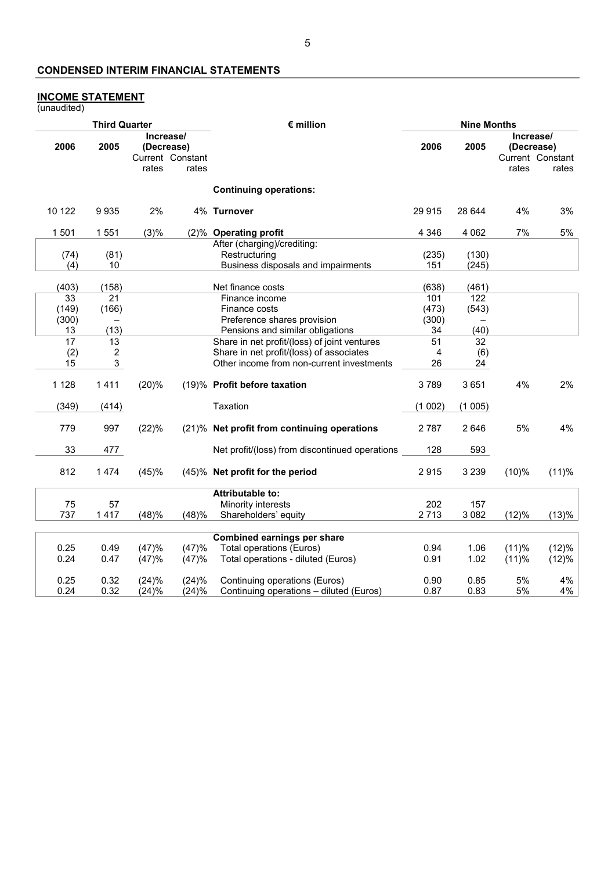# **CONDENSED INTERIM FINANCIAL STATEMENTS**

#### **INCOME STATEMENT**

(unaudited)

| Increase/<br>Increase/<br>2006<br>2006<br>2005<br>(Decrease)<br>2005<br>(Decrease)<br>Current Constant<br>Current Constant<br>rates<br>rates<br>rates<br>rates<br><b>Continuing operations:</b><br>10 122<br>9935<br>2%<br>4% Turnover<br>4%<br>3%<br>29 915<br>28 644<br>1 5 0 1<br>1551<br>(3)%<br>4 3 4 6<br>4 0 6 2<br>7%<br>5%<br>(2)% Operating profit<br>After (charging)/crediting:<br>(81)<br>Restructuring<br>(74)<br>(235)<br>(130)<br>Business disposals and impairments<br>10<br>151<br>(245)<br>(4)<br>(403)<br>(158)<br>(638)<br>(461)<br>Net finance costs<br>101<br>122<br>33<br>21<br>Finance income<br>(149)<br>(166)<br>(473)<br>(543)<br>Finance costs<br>(300)<br>(300)<br>Preference shares provision<br>(13)<br>Pensions and similar obligations<br>34<br>(40)<br>13<br>$\overline{17}$<br>Share in net profit/(loss) of joint ventures<br>$\overline{32}$<br>13<br>51<br>Share in net profit/(loss) of associates<br>$\boldsymbol{2}$<br>(2)<br>4<br>(6)<br>3<br>15<br>Other income from non-current investments<br>26<br>24<br>1 1 2 8<br>1411<br>(20)%<br>3789<br>3651<br>4%<br>2%<br>(19)% Profit before taxation<br>Taxation<br>(349)<br>(414)<br>(1002)<br>(1005)<br>5%<br>4%<br>779<br>997<br>(22)%<br>(21)% Net profit from continuing operations<br>2 7 8 7<br>2646<br>33<br>477<br>Net profit/(loss) from discontinued operations<br>128<br>593<br>812<br>1474<br>(45)%<br>(45)% Net profit for the period<br>2915<br>3 2 3 9<br>$(10)\%$<br>(11)%<br><b>Attributable to:</b><br>202<br>75<br>57<br>Minority interests<br>157<br>737<br>1417<br>(48)%<br>(48)%<br>Shareholders' equity<br>2 7 1 3<br>3 0 8 2<br>(12)%<br>Combined earnings per share<br>(12)%<br>0.25<br>(47)%<br>(47)%<br>Total operations (Euros)<br>(11)%<br>0.49<br>0.94<br>1.06<br>Total operations - diluted (Euros)<br>0.24<br>(47)%<br>(47)%<br>0.91<br>1.02<br>(11)%<br>0.47<br>4%<br>0.25<br>(24)%<br>(24)%<br>5%<br>0.32<br>Continuing operations (Euros)<br>0.90<br>0.85 |      | <b>Third Quarter</b> |       |       | $\epsilon$ million                      | <b>Nine Months</b> |      |    |    |
|----------------------------------------------------------------------------------------------------------------------------------------------------------------------------------------------------------------------------------------------------------------------------------------------------------------------------------------------------------------------------------------------------------------------------------------------------------------------------------------------------------------------------------------------------------------------------------------------------------------------------------------------------------------------------------------------------------------------------------------------------------------------------------------------------------------------------------------------------------------------------------------------------------------------------------------------------------------------------------------------------------------------------------------------------------------------------------------------------------------------------------------------------------------------------------------------------------------------------------------------------------------------------------------------------------------------------------------------------------------------------------------------------------------------------------------------------------------------------------------------------------------------------------------------------------------------------------------------------------------------------------------------------------------------------------------------------------------------------------------------------------------------------------------------------------------------------------------------------------------------------------------------------------------------------------------------------------------------------------------|------|----------------------|-------|-------|-----------------------------------------|--------------------|------|----|----|
|                                                                                                                                                                                                                                                                                                                                                                                                                                                                                                                                                                                                                                                                                                                                                                                                                                                                                                                                                                                                                                                                                                                                                                                                                                                                                                                                                                                                                                                                                                                                                                                                                                                                                                                                                                                                                                                                                                                                                                                        |      |                      |       |       |                                         |                    |      |    |    |
|                                                                                                                                                                                                                                                                                                                                                                                                                                                                                                                                                                                                                                                                                                                                                                                                                                                                                                                                                                                                                                                                                                                                                                                                                                                                                                                                                                                                                                                                                                                                                                                                                                                                                                                                                                                                                                                                                                                                                                                        |      |                      |       |       |                                         |                    |      |    |    |
|                                                                                                                                                                                                                                                                                                                                                                                                                                                                                                                                                                                                                                                                                                                                                                                                                                                                                                                                                                                                                                                                                                                                                                                                                                                                                                                                                                                                                                                                                                                                                                                                                                                                                                                                                                                                                                                                                                                                                                                        |      |                      |       |       |                                         |                    |      |    |    |
|                                                                                                                                                                                                                                                                                                                                                                                                                                                                                                                                                                                                                                                                                                                                                                                                                                                                                                                                                                                                                                                                                                                                                                                                                                                                                                                                                                                                                                                                                                                                                                                                                                                                                                                                                                                                                                                                                                                                                                                        |      |                      |       |       |                                         |                    |      |    |    |
|                                                                                                                                                                                                                                                                                                                                                                                                                                                                                                                                                                                                                                                                                                                                                                                                                                                                                                                                                                                                                                                                                                                                                                                                                                                                                                                                                                                                                                                                                                                                                                                                                                                                                                                                                                                                                                                                                                                                                                                        |      |                      |       |       |                                         |                    |      |    |    |
|                                                                                                                                                                                                                                                                                                                                                                                                                                                                                                                                                                                                                                                                                                                                                                                                                                                                                                                                                                                                                                                                                                                                                                                                                                                                                                                                                                                                                                                                                                                                                                                                                                                                                                                                                                                                                                                                                                                                                                                        |      |                      |       |       |                                         |                    |      |    |    |
|                                                                                                                                                                                                                                                                                                                                                                                                                                                                                                                                                                                                                                                                                                                                                                                                                                                                                                                                                                                                                                                                                                                                                                                                                                                                                                                                                                                                                                                                                                                                                                                                                                                                                                                                                                                                                                                                                                                                                                                        |      |                      |       |       |                                         |                    |      |    |    |
|                                                                                                                                                                                                                                                                                                                                                                                                                                                                                                                                                                                                                                                                                                                                                                                                                                                                                                                                                                                                                                                                                                                                                                                                                                                                                                                                                                                                                                                                                                                                                                                                                                                                                                                                                                                                                                                                                                                                                                                        |      |                      |       |       |                                         |                    |      |    |    |
| (13)%<br>(12)%                                                                                                                                                                                                                                                                                                                                                                                                                                                                                                                                                                                                                                                                                                                                                                                                                                                                                                                                                                                                                                                                                                                                                                                                                                                                                                                                                                                                                                                                                                                                                                                                                                                                                                                                                                                                                                                                                                                                                                         |      |                      |       |       |                                         |                    |      |    |    |
|                                                                                                                                                                                                                                                                                                                                                                                                                                                                                                                                                                                                                                                                                                                                                                                                                                                                                                                                                                                                                                                                                                                                                                                                                                                                                                                                                                                                                                                                                                                                                                                                                                                                                                                                                                                                                                                                                                                                                                                        |      |                      |       |       |                                         |                    |      |    |    |
|                                                                                                                                                                                                                                                                                                                                                                                                                                                                                                                                                                                                                                                                                                                                                                                                                                                                                                                                                                                                                                                                                                                                                                                                                                                                                                                                                                                                                                                                                                                                                                                                                                                                                                                                                                                                                                                                                                                                                                                        |      |                      |       |       |                                         |                    |      |    |    |
|                                                                                                                                                                                                                                                                                                                                                                                                                                                                                                                                                                                                                                                                                                                                                                                                                                                                                                                                                                                                                                                                                                                                                                                                                                                                                                                                                                                                                                                                                                                                                                                                                                                                                                                                                                                                                                                                                                                                                                                        |      |                      |       |       |                                         |                    |      |    |    |
|                                                                                                                                                                                                                                                                                                                                                                                                                                                                                                                                                                                                                                                                                                                                                                                                                                                                                                                                                                                                                                                                                                                                                                                                                                                                                                                                                                                                                                                                                                                                                                                                                                                                                                                                                                                                                                                                                                                                                                                        |      |                      |       |       |                                         |                    |      |    |    |
|                                                                                                                                                                                                                                                                                                                                                                                                                                                                                                                                                                                                                                                                                                                                                                                                                                                                                                                                                                                                                                                                                                                                                                                                                                                                                                                                                                                                                                                                                                                                                                                                                                                                                                                                                                                                                                                                                                                                                                                        |      |                      |       |       |                                         |                    |      |    |    |
|                                                                                                                                                                                                                                                                                                                                                                                                                                                                                                                                                                                                                                                                                                                                                                                                                                                                                                                                                                                                                                                                                                                                                                                                                                                                                                                                                                                                                                                                                                                                                                                                                                                                                                                                                                                                                                                                                                                                                                                        |      |                      |       |       |                                         |                    |      |    |    |
|                                                                                                                                                                                                                                                                                                                                                                                                                                                                                                                                                                                                                                                                                                                                                                                                                                                                                                                                                                                                                                                                                                                                                                                                                                                                                                                                                                                                                                                                                                                                                                                                                                                                                                                                                                                                                                                                                                                                                                                        |      |                      |       |       |                                         |                    |      |    |    |
|                                                                                                                                                                                                                                                                                                                                                                                                                                                                                                                                                                                                                                                                                                                                                                                                                                                                                                                                                                                                                                                                                                                                                                                                                                                                                                                                                                                                                                                                                                                                                                                                                                                                                                                                                                                                                                                                                                                                                                                        |      |                      |       |       |                                         |                    |      |    |    |
|                                                                                                                                                                                                                                                                                                                                                                                                                                                                                                                                                                                                                                                                                                                                                                                                                                                                                                                                                                                                                                                                                                                                                                                                                                                                                                                                                                                                                                                                                                                                                                                                                                                                                                                                                                                                                                                                                                                                                                                        |      |                      |       |       |                                         |                    |      |    |    |
|                                                                                                                                                                                                                                                                                                                                                                                                                                                                                                                                                                                                                                                                                                                                                                                                                                                                                                                                                                                                                                                                                                                                                                                                                                                                                                                                                                                                                                                                                                                                                                                                                                                                                                                                                                                                                                                                                                                                                                                        |      |                      |       |       |                                         |                    |      |    |    |
|                                                                                                                                                                                                                                                                                                                                                                                                                                                                                                                                                                                                                                                                                                                                                                                                                                                                                                                                                                                                                                                                                                                                                                                                                                                                                                                                                                                                                                                                                                                                                                                                                                                                                                                                                                                                                                                                                                                                                                                        |      |                      |       |       |                                         |                    |      |    |    |
|                                                                                                                                                                                                                                                                                                                                                                                                                                                                                                                                                                                                                                                                                                                                                                                                                                                                                                                                                                                                                                                                                                                                                                                                                                                                                                                                                                                                                                                                                                                                                                                                                                                                                                                                                                                                                                                                                                                                                                                        |      |                      |       |       |                                         |                    |      |    |    |
|                                                                                                                                                                                                                                                                                                                                                                                                                                                                                                                                                                                                                                                                                                                                                                                                                                                                                                                                                                                                                                                                                                                                                                                                                                                                                                                                                                                                                                                                                                                                                                                                                                                                                                                                                                                                                                                                                                                                                                                        |      |                      |       |       |                                         |                    |      |    |    |
|                                                                                                                                                                                                                                                                                                                                                                                                                                                                                                                                                                                                                                                                                                                                                                                                                                                                                                                                                                                                                                                                                                                                                                                                                                                                                                                                                                                                                                                                                                                                                                                                                                                                                                                                                                                                                                                                                                                                                                                        |      |                      |       |       |                                         |                    |      |    |    |
|                                                                                                                                                                                                                                                                                                                                                                                                                                                                                                                                                                                                                                                                                                                                                                                                                                                                                                                                                                                                                                                                                                                                                                                                                                                                                                                                                                                                                                                                                                                                                                                                                                                                                                                                                                                                                                                                                                                                                                                        |      |                      |       |       |                                         |                    |      |    |    |
|                                                                                                                                                                                                                                                                                                                                                                                                                                                                                                                                                                                                                                                                                                                                                                                                                                                                                                                                                                                                                                                                                                                                                                                                                                                                                                                                                                                                                                                                                                                                                                                                                                                                                                                                                                                                                                                                                                                                                                                        |      |                      |       |       |                                         |                    |      |    |    |
|                                                                                                                                                                                                                                                                                                                                                                                                                                                                                                                                                                                                                                                                                                                                                                                                                                                                                                                                                                                                                                                                                                                                                                                                                                                                                                                                                                                                                                                                                                                                                                                                                                                                                                                                                                                                                                                                                                                                                                                        |      |                      |       |       |                                         |                    |      |    |    |
|                                                                                                                                                                                                                                                                                                                                                                                                                                                                                                                                                                                                                                                                                                                                                                                                                                                                                                                                                                                                                                                                                                                                                                                                                                                                                                                                                                                                                                                                                                                                                                                                                                                                                                                                                                                                                                                                                                                                                                                        |      |                      |       |       |                                         |                    |      |    |    |
|                                                                                                                                                                                                                                                                                                                                                                                                                                                                                                                                                                                                                                                                                                                                                                                                                                                                                                                                                                                                                                                                                                                                                                                                                                                                                                                                                                                                                                                                                                                                                                                                                                                                                                                                                                                                                                                                                                                                                                                        |      |                      |       |       |                                         |                    |      |    |    |
|                                                                                                                                                                                                                                                                                                                                                                                                                                                                                                                                                                                                                                                                                                                                                                                                                                                                                                                                                                                                                                                                                                                                                                                                                                                                                                                                                                                                                                                                                                                                                                                                                                                                                                                                                                                                                                                                                                                                                                                        |      |                      |       |       |                                         |                    |      |    |    |
|                                                                                                                                                                                                                                                                                                                                                                                                                                                                                                                                                                                                                                                                                                                                                                                                                                                                                                                                                                                                                                                                                                                                                                                                                                                                                                                                                                                                                                                                                                                                                                                                                                                                                                                                                                                                                                                                                                                                                                                        | 0.24 | 0.32                 | (24)% | (24)% | Continuing operations - diluted (Euros) | 0.87               | 0.83 | 5% | 4% |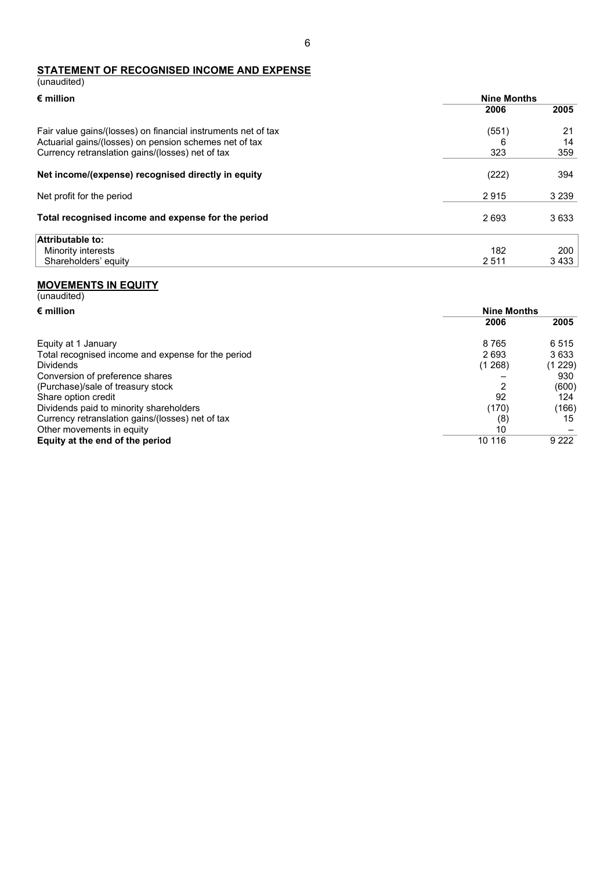## **STATEMENT OF RECOGNISED INCOME AND EXPENSE** (unaudited)

| $\epsilon$ million                                            | <b>Nine Months</b> |         |
|---------------------------------------------------------------|--------------------|---------|
|                                                               | 2006               | 2005    |
| Fair value gains/(losses) on financial instruments net of tax | (551)              | 21      |
| Actuarial gains/(losses) on pension schemes net of tax        | 6                  | 14      |
| Currency retranslation gains/(losses) net of tax              | 323                | 359     |
| Net income/(expense) recognised directly in equity            | (222)              | 394     |
| Net profit for the period                                     | 2915               | 3 2 3 9 |
| Total recognised income and expense for the period            | 2693               | 3633    |
| Attributable to:                                              |                    |         |
| Minority interests                                            | 182                | 200     |
| Shareholders' equity                                          | 2 5 1 1            | 3 4 3 3 |

#### **MOVEMENTS IN EQUITY**

| (unaudited)                                        |                    |         |
|----------------------------------------------------|--------------------|---------|
| $\epsilon$ million                                 | <b>Nine Months</b> |         |
|                                                    | 2006               | 2005    |
| Equity at 1 January                                | 8765               | 6515    |
| Total recognised income and expense for the period | 2693               | 3633    |
| <b>Dividends</b>                                   | (1, 268)           | (1 229) |
| Conversion of preference shares                    |                    | 930     |
| (Purchase)/sale of treasury stock                  | 2                  | (600)   |
| Share option credit                                | 92                 | 124     |
| Dividends paid to minority shareholders            | (170)              | (166)   |
| Currency retranslation gains/(losses) net of tax   | (8)                | 15      |
| Other movements in equity                          | 10                 |         |
| Equity at the end of the period                    | 10 116             | 9 2 2 2 |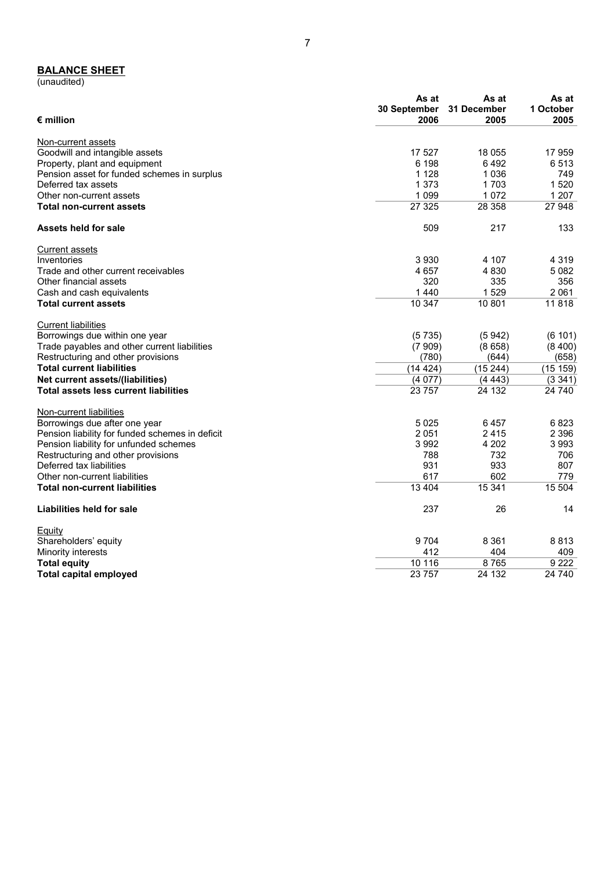#### **BALANCE SHEET**

(unaudited)

| $\epsilon$ million                              | As at<br>30 September<br>2006 | As at<br>31 December<br>2005 | As at<br>1 October<br>2005 |
|-------------------------------------------------|-------------------------------|------------------------------|----------------------------|
| Non-current assets                              |                               |                              |                            |
| Goodwill and intangible assets                  | 17 527                        | 18 055                       | 17959                      |
| Property, plant and equipment                   | 6 198                         | 6492                         | 6513                       |
| Pension asset for funded schemes in surplus     | 1 1 2 8                       | 1036                         | 749                        |
| Deferred tax assets                             | 1 3 7 3                       | 1703                         | 1520                       |
| Other non-current assets                        | 1 0 9 9                       | 1072                         | 1 207                      |
| <b>Total non-current assets</b>                 | 27 3 25                       | 28 358                       | 27 948                     |
| Assets held for sale                            | 509                           | 217                          | 133                        |
| <b>Current assets</b>                           |                               |                              |                            |
| Inventories                                     | 3930                          | 4 107                        | 4 3 1 9                    |
| Trade and other current receivables             | 4657                          | 4 8 3 0                      | 5082                       |
| Other financial assets                          | 320                           | 335                          | 356                        |
| Cash and cash equivalents                       | 1440                          | 1529                         | 2061                       |
| <b>Total current assets</b>                     | 10 347                        | 10 801                       | 11818                      |
| <b>Current liabilities</b>                      |                               |                              |                            |
| Borrowings due within one year                  | (5735)                        | (5942)                       | (6101)                     |
| Trade payables and other current liabilities    | (7909)                        | (8658)                       | (8400)                     |
| Restructuring and other provisions              | (780)                         | (644)                        | (658)                      |
| <b>Total current liabilities</b>                | (14424)                       | (15244)                      | (15159)                    |
| Net current assets/(liabilities)                | (4077)                        | (4443)                       | (3 341)                    |
| <b>Total assets less current liabilities</b>    | 23 757                        | 24 132                       | 24 740                     |
| Non-current liabilities                         |                               |                              |                            |
| Borrowings due after one year                   | 5025                          | 6457                         | 6823                       |
| Pension liability for funded schemes in deficit | 2051                          | 2415                         | 2 3 9 6                    |
| Pension liability for unfunded schemes          | 3 9 9 2                       | 4 202                        | 3993                       |
| Restructuring and other provisions              | 788                           | 732                          | 706                        |
| Deferred tax liabilities                        | 931                           | 933                          | 807                        |
| Other non-current liabilities                   | 617                           | 602                          | 779                        |
| <b>Total non-current liabilities</b>            | 13 4 04                       | 15 341                       | 15 504                     |
| Liabilities held for sale                       | 237                           | 26                           | 14                         |
| Equity                                          |                               |                              |                            |
| Shareholders' equity                            | 9704                          | 8 3 6 1                      | 8813                       |
| Minority interests                              | 412                           | 404                          | 409                        |
| <b>Total equity</b>                             | 10 116                        | 8765                         | 9 2 2 2                    |
| <b>Total capital employed</b>                   | 23 757                        | 24 132                       | 24 740                     |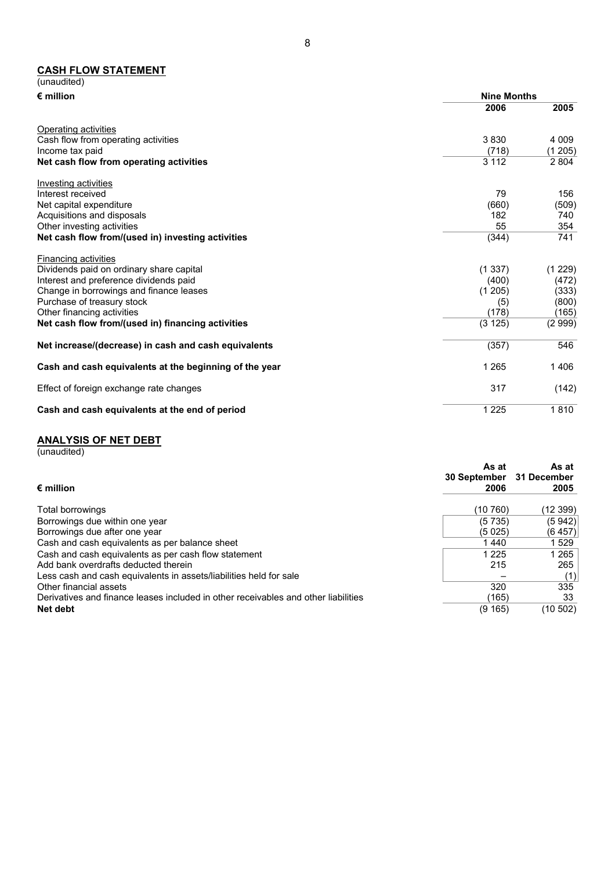#### **CASH FLOW STATEMENT**

| (unaudited)                                            |                    |         |
|--------------------------------------------------------|--------------------|---------|
| $\epsilon$ million                                     | <b>Nine Months</b> |         |
|                                                        | 2006               | 2005    |
| Operating activities                                   |                    |         |
| Cash flow from operating activities                    | 3830               | 4 0 0 9 |
| Income tax paid                                        | (718)              | (1205)  |
| Net cash flow from operating activities                | 3 1 1 2            | 2 8 0 4 |
| Investing activities                                   |                    |         |
| Interest received                                      | 79                 | 156     |
| Net capital expenditure                                | (660)              | (509)   |
| Acquisitions and disposals                             | 182                | 740     |
| Other investing activities                             | 55                 | 354     |
| Net cash flow from/(used in) investing activities      | (344)              | 741     |
| <b>Financing activities</b>                            |                    |         |
| Dividends paid on ordinary share capital               | (1337)             | (1 229) |
| Interest and preference dividends paid                 | (400)              | (472)   |
| Change in borrowings and finance leases                | (1205)             | (333)   |
| Purchase of treasury stock                             | (5)                | (800)   |
| Other financing activities                             | (178)              | (165)   |
| Net cash flow from/(used in) financing activities      | (3 125)            | (2999)  |
| Net increase/(decrease) in cash and cash equivalents   | (357)              | 546     |
| Cash and cash equivalents at the beginning of the year | 1 2 6 5            | 1406    |
| Effect of foreign exchange rate changes                | 317                | (142)   |
| Cash and cash equivalents at the end of period         | 1 2 2 5            | 1810    |

## **ANALYSIS OF NET DEBT**

(unaudited)

| $\bm{\epsilon}$ million                                                            | As at<br><b>30 September</b><br>2006 | As at<br>31 December<br>2005 |
|------------------------------------------------------------------------------------|--------------------------------------|------------------------------|
| Total borrowings                                                                   | (10 760)                             | (12 399)                     |
| Borrowings due within one year                                                     | (5735)                               | (5942)                       |
| Borrowings due after one year                                                      | (5025)                               | (6457)                       |
| Cash and cash equivalents as per balance sheet                                     | 1440                                 | 1 529                        |
| Cash and cash equivalents as per cash flow statement                               | 1 2 2 5                              | 1 265                        |
| Add bank overdrafts deducted therein                                               | 215                                  | 265                          |
| Less cash and cash equivalents in assets/liabilities held for sale                 |                                      | (1)                          |
| Other financial assets                                                             | 320                                  | 335                          |
| Derivatives and finance leases included in other receivables and other liabilities | (165)                                | 33                           |
| Net debt                                                                           | (9165)                               | (10 502)                     |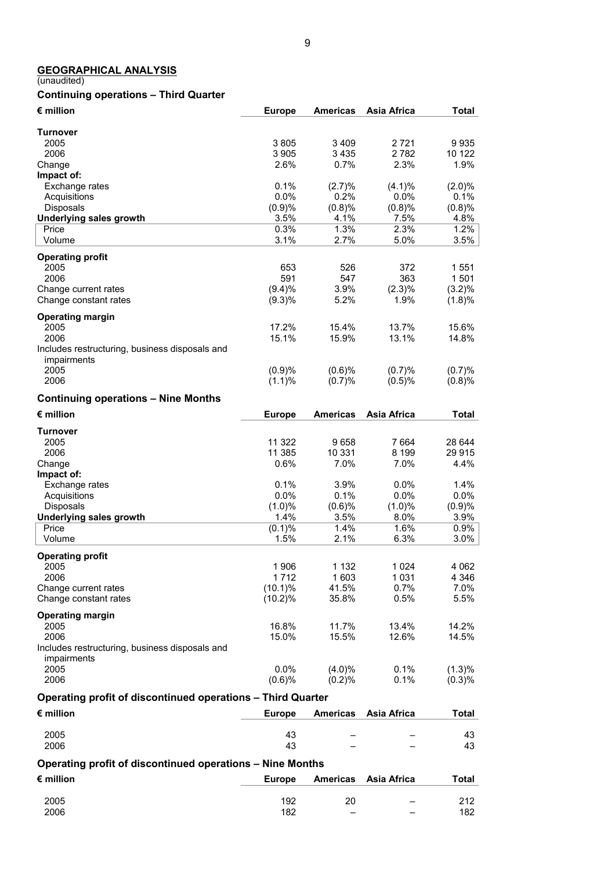## **GEOGRAPHICAL ANALYSIS**

#### (unaudited)

# **Continuing operations – Third Quarter**

| € million                                                   | <b>Europe</b>  | <b>Americas</b> | <b>Asia Africa</b> | <b>Total</b>   |
|-------------------------------------------------------------|----------------|-----------------|--------------------|----------------|
| <b>Turnover</b>                                             |                |                 |                    |                |
| 2005                                                        | 3805           | 3 4 0 9         | 2721               | 9935           |
| 2006                                                        | 3 9 0 5        | 3435            | 2782               | 10 122         |
| Change                                                      | 2.6%           | 0.7%            | 2.3%               | 1.9%           |
| Impact of:                                                  |                |                 |                    |                |
| Exchange rates                                              | 0.1%           | (2.7)%          | (4.1)%             | (2.0)%         |
| Acquisitions                                                | 0.0%           | 0.2%            | 0.0%               | 0.1%           |
| Disposals<br><b>Underlying sales growth</b>                 | (0.9)%<br>3.5% | (0.8)%<br>4.1%  | (0.8)%<br>7.5%     | (0.8)%<br>4.8% |
| Price                                                       | 0.3%           | 1.3%            | 2.3%               | 1.2%           |
| Volume                                                      | 3.1%           | 2.7%            | 5.0%               | 3.5%           |
| <b>Operating profit</b>                                     |                |                 |                    |                |
| 2005                                                        | 653            | 526             | 372                | 1 5 5 1        |
| 2006                                                        | 591            | 547             | 363                | 1 501          |
| Change current rates                                        | (9.4)%         | 3.9%            | $(2.3)\%$          | $(3.2)\%$      |
| Change constant rates                                       | (9.3)%         | 5.2%            | 1.9%               | (1.8)%         |
| <b>Operating margin</b>                                     |                |                 |                    |                |
| 2005                                                        | 17.2%          | 15.4%           | 13.7%              | 15.6%          |
| 2006<br>Includes restructuring, business disposals and      | 15.1%          | 15.9%           | 13.1%              | 14.8%          |
| impairments                                                 |                |                 |                    |                |
| 2005                                                        | (0.9)%         | (0.6)%          | (0.7)%             | (0.7)%         |
| 2006                                                        | (1.1)%         | (0.7)%          | (0.5)%             | (0.8)%         |
| <b>Continuing operations - Nine Months</b>                  |                |                 |                    |                |
| $\epsilon$ million                                          | <b>Europe</b>  | <b>Americas</b> | <b>Asia Africa</b> | <b>Total</b>   |
|                                                             |                |                 |                    |                |
| <b>Turnover</b><br>2005                                     | 11 322         | 9658            | 7 6 64             | 28 644         |
| 2006                                                        | 11 385         | 10 331          | 8 1 9 9            | 29 915         |
| Change                                                      | 0.6%           | 7.0%            | 7.0%               | 4.4%           |
| Impact of:                                                  |                |                 |                    |                |
| Exchange rates                                              | 0.1%           | 3.9%            | 0.0%               | 1.4%           |
| Acquisitions                                                | 0.0%           | 0.1%            | 0.0%               | 0.0%           |
| Disposals                                                   | (1.0)%         | (0.6)%          | (1.0)%             | (0.9)%         |
| <b>Underlying sales growth</b>                              | 1.4%<br>(0.1)% | 3.5%<br>1.4%    | 8.0%<br>1.6%       | 3.9%<br>0.9%   |
| Price<br>Volume                                             | 1.5%           | 2.1%            | 6.3%               | 3.0%           |
|                                                             |                |                 |                    |                |
| <b>Operating profit</b><br>2005                             | 1 906          | 1 1 3 2         | 1 0 24             | 4 0 6 2        |
| 2006                                                        | 1712           | 1 603           | 1 031              | 4 3 4 6        |
| Change current rates                                        | $(10.1)\%$     | 41.5%           | 0.7%               | 7.0%           |
| Change constant rates                                       | $(10.2)\%$     | 35.8%           | 0.5%               | 5.5%           |
| <b>Operating margin</b>                                     |                |                 |                    |                |
| 2005                                                        | 16.8%          | 11.7%           | 13.4%              | 14.2%          |
| 2006                                                        | 15.0%          | 15.5%           | 12.6%              | 14.5%          |
| Includes restructuring, business disposals and              |                |                 |                    |                |
| impairments                                                 |                |                 |                    |                |
| 2005                                                        | $0.0\%$        | $(4.0)\%$       | 0.1%               | $(1.3)\%$      |
| 2006                                                        | (0.6)%         | (0.2)%          | 0.1%               | (0.3)%         |
| Operating profit of discontinued operations - Third Quarter |                |                 |                    |                |
| $\epsilon$ million                                          | <b>Europe</b>  | <b>Americas</b> | Asia Africa        | <b>Total</b>   |
| 2005                                                        | 43             |                 |                    | 43             |
| 2006                                                        | 43             |                 |                    | 43             |
| Operating profit of discontinued operations - Nine Months   |                |                 |                    |                |
|                                                             |                |                 |                    |                |

| $\bm{\epsilon}$ million | <b>Europe</b> |                          | Americas Asia Africa     | Total |
|-------------------------|---------------|--------------------------|--------------------------|-------|
|                         |               |                          |                          |       |
| 2005                    | 192           | 20                       | $\overline{\phantom{0}}$ | 212   |
| 2006                    | 182           | $\overline{\phantom{a}}$ | $\overline{\phantom{0}}$ | 182   |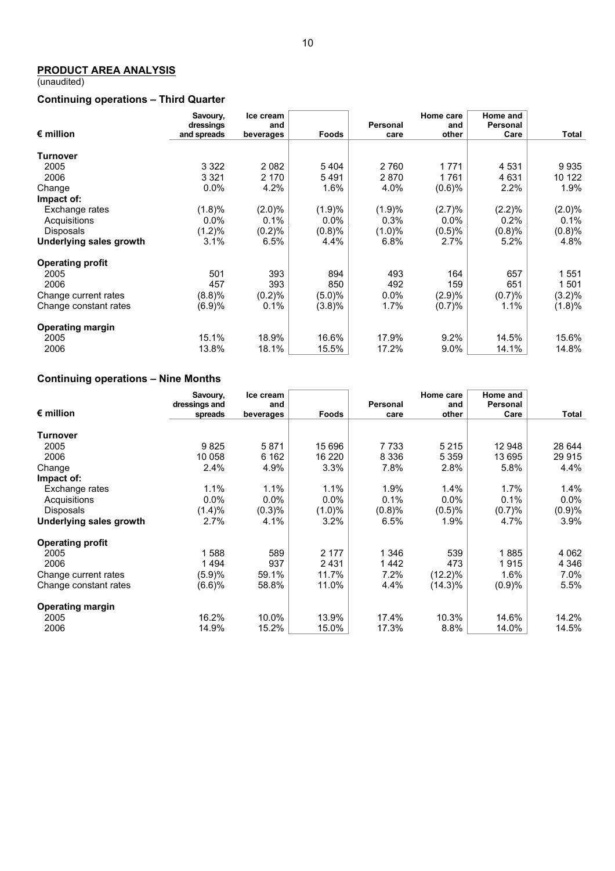## **PRODUCT AREA ANALYSIS**

(unaudited)

# **Continuing operations – Third Quarter**

|                         | Savoury,                 | Ice cream        |         |                  | Home care    | Home and         |           |
|-------------------------|--------------------------|------------------|---------|------------------|--------------|------------------|-----------|
| $\epsilon$ million      | dressings<br>and spreads | and<br>beverages | Foods   | Personal<br>care | and<br>other | Personal<br>Care | Total     |
|                         |                          |                  |         |                  |              |                  |           |
| Turnover                |                          |                  |         |                  |              |                  |           |
| 2005                    | 3 3 2 2                  | 2082             | 5404    | 2 7 6 0          | 1771         | 4 5 31           | 9935      |
| 2006                    | 3 3 2 1                  | 2 170            | 5491    | 2870             | 1761         | 4 6 3 1          | 10 122    |
| Change                  | $0.0\%$                  | 4.2%             | 1.6%    | 4.0%             | (0.6)%       | 2.2%             | $1.9\%$   |
| Impact of:              |                          |                  |         |                  |              |                  |           |
| Exchange rates          | (1.8)%                   | $(2.0)\%$        | (1.9)%  | (1.9)%           | (2.7)%       | (2.2)%           | $(2.0)\%$ |
| Acquisitions            | $0.0\%$                  | 0.1%             | $0.0\%$ | 0.3%             | $0.0\%$      | $0.2\%$          | 0.1%      |
| <b>Disposals</b>        | (1.2)%                   | (0.2)%           | (0.8)%  | (1.0)%           | (0.5)%       | (0.8)%           | (0.8)%    |
| Underlying sales growth | 3.1%                     | 6.5%             | 4.4%    | 6.8%             | 2.7%         | 5.2%             | 4.8%      |
| <b>Operating profit</b> |                          |                  |         |                  |              |                  |           |
| 2005                    | 501                      | 393              | 894     | 493              | 164          | 657              | 1551      |
| 2006                    | 457                      | 393              | 850     | 492              | 159          | 651              | 1 501     |
| Change current rates    | (8.8)%                   | (0.2)%           | (5.0)%  | $0.0\%$          | (2.9)%       | (0.7)%           | $(3.2)\%$ |
| Change constant rates   | (6.9)%                   | 0.1%             | (3.8)%  | 1.7%             | (0.7)%       | $1.1\%$          | (1.8)%    |
| <b>Operating margin</b> |                          |                  |         |                  |              |                  |           |
| 2005                    | 15.1%                    | 18.9%            | 16.6%   | 17.9%            | 9.2%         | 14.5%            | 15.6%     |
| 2006                    | 13.8%                    | 18.1%            | 15.5%   | 17.2%            | $9.0\%$      | 14.1%            | 14.8%     |

# **Continuing operations – Nine Months**

|                         | Savoury,      | Ice cream |           |          | Home care  | Home and |         |
|-------------------------|---------------|-----------|-----------|----------|------------|----------|---------|
|                         | dressings and | and       |           | Personal | and        | Personal |         |
| $\epsilon$ million      | spreads       | beverages | Foods     | care     | other      | Care     | Total   |
|                         |               |           |           |          |            |          |         |
| Turnover                |               |           |           |          |            |          |         |
| 2005                    | 9825          | 5871      | 15 696    | 7 7 3 3  | 5 2 1 5    | 12 948   | 28 644  |
| 2006                    | 10 058        | 6 162     | 16 220    | 8 3 3 6  | 5 3 5 9    | 13 695   | 29 9 15 |
| Change                  | 2.4%          | 4.9%      | 3.3%      | 7.8%     | 2.8%       | 5.8%     | 4.4%    |
| Impact of:              |               |           |           |          |            |          |         |
| Exchange rates          | 1.1%          | 1.1%      | 1.1%      | 1.9%     | 1.4%       | 1.7%     | $1.4\%$ |
| Acquisitions            | $0.0\%$       | $0.0\%$   | $0.0\%$   | 0.1%     | $0.0\%$    | 0.1%     | $0.0\%$ |
| <b>Disposals</b>        | (1.4)%        | (0.3)%    | $(1.0)\%$ | (0.8)%   | (0.5)%     | (0.7)%   | (0.9)%  |
| Underlying sales growth | 2.7%          | 4.1%      | 3.2%      | 6.5%     | 1.9%       | 4.7%     | 3.9%    |
| <b>Operating profit</b> |               |           |           |          |            |          |         |
| 2005                    | 588           | 589       | 2 177     | 1 346    | 539        | 885      | 4 0 6 2 |
| 2006                    | 1494          | 937       | 2431      | 1442     | 473        | 1915     | 4 3 4 6 |
| Change current rates    | (5.9)%        | 59.1%     | 11.7%     | 7.2%     | $(12.2)\%$ | 1.6%     | 7.0%    |
| Change constant rates   | (6.6)%        | 58.8%     | 11.0%     | 4.4%     | $(14.3)\%$ | (0.9)%   | 5.5%    |
| <b>Operating margin</b> |               |           |           |          |            |          |         |
| 2005                    | 16.2%         | 10.0%     | 13.9%     | 17.4%    | 10.3%      | 14.6%    | 14.2%   |
| 2006                    | 14.9%         | 15.2%     | 15.0%     | 17.3%    | 8.8%       | 14.0%    | 14.5%   |
|                         |               |           |           |          |            |          |         |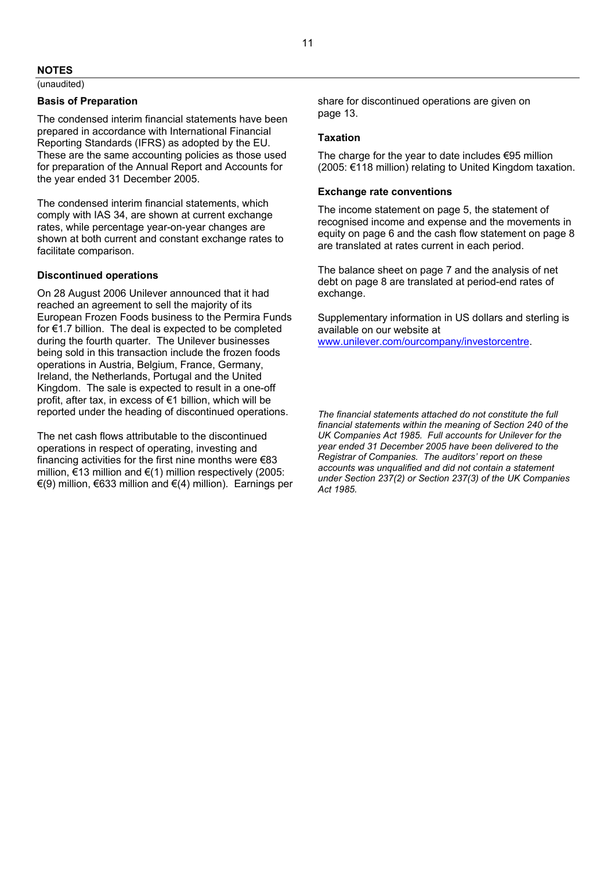## **NOTES**

(unaudited)

#### **Basis of Preparation**

The condensed interim financial statements have been prepared in accordance with International Financial Reporting Standards (IFRS) as adopted by the EU. These are the same accounting policies as those used for preparation of the Annual Report and Accounts for the year ended 31 December 2005.

The condensed interim financial statements, which comply with IAS 34, are shown at current exchange rates, while percentage year-on-year changes are shown at both current and constant exchange rates to facilitate comparison.

## **Discontinued operations**

On 28 August 2006 Unilever announced that it had reached an agreement to sell the majority of its European Frozen Foods business to the Permira Funds for €1.7 billion. The deal is expected to be completed during the fourth quarter. The Unilever businesses being sold in this transaction include the frozen foods operations in Austria, Belgium, France, Germany, Ireland, the Netherlands, Portugal and the United Kingdom. The sale is expected to result in a one-off profit, after tax, in excess of €1 billion, which will be reported under the heading of discontinued operations.

The net cash flows attributable to the discontinued operations in respect of operating, investing and financing activities for the first nine months were €83 million, €13 million and €(1) million respectively (2005: €(9) million, €633 million and €(4) million). Earnings per share for discontinued operations are given on page 13.

#### **Taxation**

The charge for the year to date includes  $\epsilon$ 95 million (2005: €118 million) relating to United Kingdom taxation.

#### **Exchange rate conventions**

The income statement on page 5, the statement of recognised income and expense and the movements in equity on page 6 and the cash flow statement on page 8 are translated at rates current in each period.

The balance sheet on page 7 and the analysis of net debt on page 8 are translated at period-end rates of exchange.

Supplementary information in US dollars and sterling is available on our website at www.unilever.com/ourcompany/investorcentre.

*The financial statements attached do not constitute the full financial statements within the meaning of Section 240 of the UK Companies Act 1985. Full accounts for Unilever for the year ended 31 December 2005 have been delivered to the Registrar of Companies. The auditors' report on these accounts was unqualified and did not contain a statement under Section 237(2) or Section 237(3) of the UK Companies Act 1985.*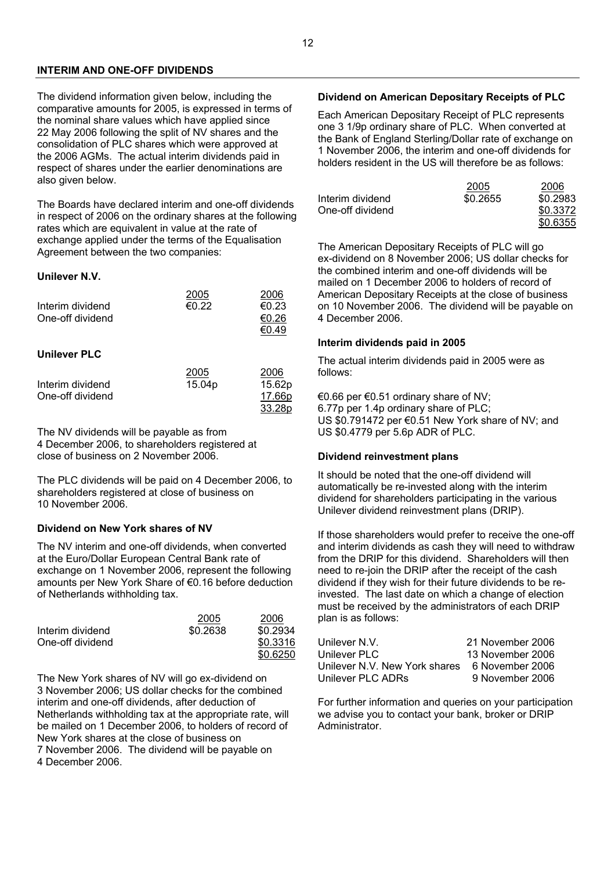## **INTERIM AND ONE-OFF DIVIDENDS**

The dividend information given below, including the comparative amounts for 2005, is expressed in terms of the nominal share values which have applied since 22 May 2006 following the split of NV shares and the consolidation of PLC shares which were approved at the 2006 AGMs. The actual interim dividends paid in respect of shares under the earlier denominations are also given below.

The Boards have declared interim and one-off dividends in respect of 2006 on the ordinary shares at the following rates which are equivalent in value at the rate of exchange applied under the terms of the Equalisation Agreement between the two companies:

#### **Unilever N.V.**

| Interim dividend<br>One-off dividend | 2005<br>€0.22                             | 2006<br>€0.23<br>€0.26<br>€0.49 |
|--------------------------------------|-------------------------------------------|---------------------------------|
| <b>Unilever PLC</b>                  |                                           |                                 |
| the formation of the state of all    | 2005<br>$\lambda$ $\sim$ $\lambda$ $\sim$ | 2006<br>$1 - \alpha \alpha$     |

| 15.04 <sub>p</sub> | 15.62p |
|--------------------|--------|
|                    | 17.66p |
|                    | 33.28p |
|                    |        |

The NV dividends will be payable as from 4 December 2006, to shareholders registered at close of business on 2 November 2006.

The PLC dividends will be paid on 4 December 2006, to shareholders registered at close of business on 10 November 2006.

#### **Dividend on New York shares of NV**

The NV interim and one-off dividends, when converted at the Euro/Dollar European Central Bank rate of exchange on 1 November 2006, represent the following amounts per New York Share of €0.16 before deduction of Netherlands withholding tax.

|                  | 2005     | 2006     |
|------------------|----------|----------|
| Interim dividend | \$0.2638 | \$0.2934 |
| One-off dividend |          | \$0.3316 |
|                  |          | \$0.6250 |

The New York shares of NV will go ex-dividend on 3 November 2006; US dollar checks for the combined interim and one-off dividends, after deduction of Netherlands withholding tax at the appropriate rate, will be mailed on 1 December 2006, to holders of record of New York shares at the close of business on 7 November 2006. The dividend will be payable on 4 December 2006.

## **Dividend on American Depositary Receipts of PLC**

Each American Depositary Receipt of PLC represents one 3 1/9p ordinary share of PLC. When converted at the Bank of England Sterling/Dollar rate of exchange on 1 November 2006, the interim and one-off dividends for holders resident in the US will therefore be as follows:

|                  | 2005     | 2006     |
|------------------|----------|----------|
| Interim dividend | \$0.2655 | \$0.2983 |
| One-off dividend |          | \$0.3372 |
|                  |          | \$0.6355 |

The American Depositary Receipts of PLC will go ex-dividend on 8 November 2006; US dollar checks for the combined interim and one-off dividends will be mailed on 1 December 2006 to holders of record of American Depositary Receipts at the close of business on 10 November 2006. The dividend will be payable on 4 December 2006.

#### **Interim dividends paid in 2005**

The actual interim dividends paid in 2005 were as follows:

€0.66 per €0.51 ordinary share of NV; 6.77p per 1.4p ordinary share of PLC; US \$0.791472 per €0.51 New York share of NV; and US \$0.4779 per 5.6p ADR of PLC.

#### **Dividend reinvestment plans**

It should be noted that the one-off dividend will automatically be re-invested along with the interim dividend for shareholders participating in the various Unilever dividend reinvestment plans (DRIP).

If those shareholders would prefer to receive the one-off and interim dividends as cash they will need to withdraw from the DRIP for this dividend. Shareholders will then need to re-join the DRIP after the receipt of the cash dividend if they wish for their future dividends to be reinvested. The last date on which a change of election must be received by the administrators of each DRIP plan is as follows:

| Unilever N.V.                 | 21 November 2006 |
|-------------------------------|------------------|
| Unilever PLC                  | 13 November 2006 |
| Unilever N.V. New York shares | 6 November 2006  |
| Unilever PLC ADRs             | 9 November 2006  |

For further information and queries on your participation we advise you to contact your bank, broker or DRIP Administrator.